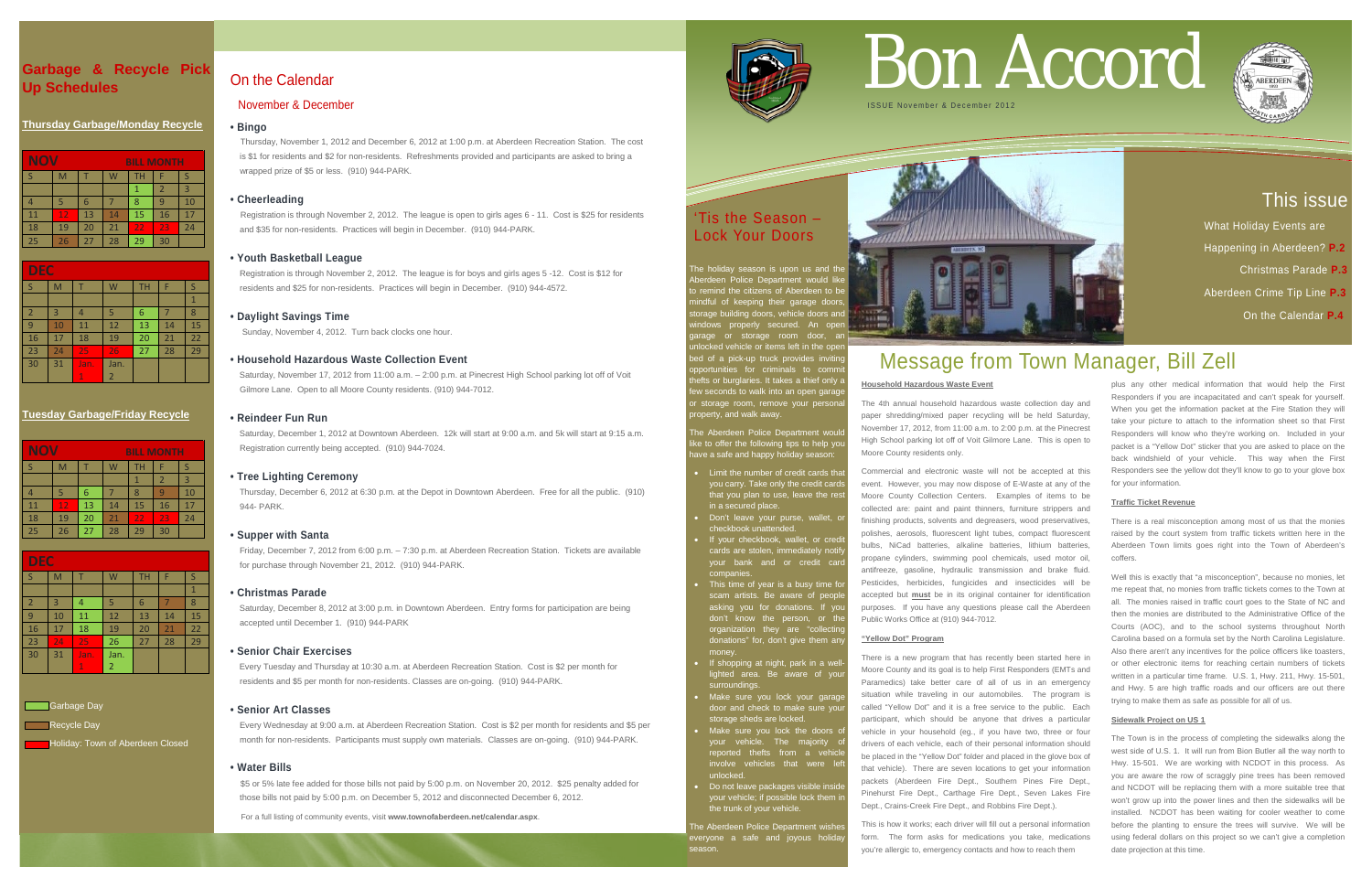## This issue

 What Holiday Events are Happening in Aberdeen? **P.2**  Christmas Parade **P.3** Aberdeen Crime Tip Line **P.3** On the Calendar **P.4**

## **Garbage & Recycle Pick Up Schedules**

#### **Thursday Garbage/Monday Recycle**

| <b>NOV</b><br><b>BILL MONTH</b> |    |    |    |    |    |    |
|---------------------------------|----|----|----|----|----|----|
| -S                              | M  |    | W  | TН | F  |    |
|                                 |    |    |    |    | 2  | 3  |
|                                 |    | 6  |    | 8  | q  | 10 |
| 11                              | 12 | 13 | 14 | 15 | 16 | 17 |
| 18                              | 19 | 20 | 21 | 22 | 23 | 24 |
| 25                              | 26 | 27 | 28 | 29 | 30 |    |

| <b>DEC</b>     |    |              |                |           |    |    |  |
|----------------|----|--------------|----------------|-----------|----|----|--|
| S              | M  |              | W              | <b>TH</b> | F  | S  |  |
|                |    |              |                |           |    | 1  |  |
| $\overline{2}$ | 3  | 4            | 5              | 6         |    | 8  |  |
| 9              | 10 | 11           | 12             | 13        | 14 | 15 |  |
| 16             | 17 | 18           | 19             | 20        | 21 | 22 |  |
| 23             | 24 | 25           | 26             | 27        | 28 | 29 |  |
| 30             | 31 | Jan.         | Jan.           |           |    |    |  |
|                |    | $\mathbf{1}$ | $\overline{2}$ |           |    |    |  |

#### **Tuesday Garbage/Friday Recycle**

| <b>NO</b><br>M<br><b>BILL MONTH</b> |    |    |    |    |    |    |
|-------------------------------------|----|----|----|----|----|----|
|                                     | M  |    |    | TН |    |    |
|                                     |    |    |    |    | 2  | 3  |
|                                     |    |    |    |    |    | 10 |
| 11                                  | 12 | 13 | 14 | 15 | 16 | 17 |
| 18                                  | 19 | 20 | 21 | 22 | 23 | 24 |
| 25                                  | 26 | 27 | 28 | 29 | 30 |    |

| <b>DEC</b>     |    |              |                |           |    |    |
|----------------|----|--------------|----------------|-----------|----|----|
| S              | M  |              | W              | <b>TH</b> | F  | S  |
|                |    |              |                |           |    | 1  |
| $\overline{2}$ | 3  | 4            | 5              | 6         |    | 8  |
| 9              | 10 | 11           | 12             | 13        | 14 | 15 |
| 16             | 17 | 18           | 19             | 20        | 21 | 22 |
| 23             | 24 | 25           | 26             | 27        | 28 | 29 |
| 30             | 31 | Jan.         | Jan.           |           |    |    |
|                |    | $\mathbf{1}$ | $\overline{2}$ |           |    |    |

Garbage Day Recycle Day

**Holiday: Town of Aberdeen Closed** 

## 'Tis the Season – Lock Your Doors

The holiday season is upon us and the berdeen Police Department would like nind the citizens of Aberdeen to be mindful of keeping their garage doors, storage building doors, vehicle doors and windows properly secured. An open garage or storage room door, an  $\frac{1}{2}$  vehicle or items left in the open ed of a pick-up truck provides inviting portunities for criminals to comm efts or burglaries. It takes a thief only a w seconds to walk into an open garag storage room, remove your persona roperty, and walk away.

- Limit the number of credit cards that vou carry. Take only the credit card  $\frac{1}{100}$  you plan to use, leave the rest in a secured place.
- Don't leave your purse, wallet, o checkbook unattended.
- If your checkbook, wallet, or cred cards are stolen, immediately notif your bank and or credit card companies.
- This time of year is a busy time for scam artists. Be aware of people asking you for donations. If don't know the person, or the organization they are "collectin donations" for, don't give them an money.
- If shopping at night, park in a welllighted area. Be aware of your surroundings.
- Make sure you lock your garage door and check to make sure your storage sheds are locked.
- Make sure you lock the doors o your vehicle. The majority of reported thefts from a vehic involve vehicles that were let unlocked.
- Do not leave packages visible inside your vehicle; if possible lock them in the trunk of your vehicle.

The Aberdeen Police Department wishe everyone a safe and joyous holida season.

The Aberdeen Police Department would like to offer the following tips to help you have a safe and happy holiday season:

Saturday, December 8, 2012 at 3:00 p.m. in Downtown Aberdeen. Entry forms for participation are being accepted until December 1. (910) 944-PARK

For a full listing of community events, visit **www.townofaberdeen.net/calendar.aspx**.



## On the Calendar

#### November & December

#### **• Bingo**

Thursday, November 1, 2012 and December 6, 2012 at 1:00 p.m. at Aberdeen Recreation Station. The cost is \$1 for residents and \$2 for non-residents. Refreshments provided and participants are asked to bring a wrapped prize of \$5 or less. (910) 944-PARK.

#### **• Cheerleading**

Registration is through November 2, 2012. The league is open to girls ages 6 - 11. Cost is \$25 for residents and \$35 for non-residents. Practices will begin in December. (910) 944-PARK.

#### **• Youth Basketball League**

 Registration is through November 2, 2012. The league is for boys and girls ages 5 -12. Cost is \$12 for residents and \$25 for non-residents. Practices will begin in December. (910) 944-4572.

#### **• Daylight Savings Time**

Sunday, November 4, 2012. Turn back clocks one hour.

#### **• Household Hazardous Waste Collection Event**

Saturday, November 17, 2012 from 11:00 a.m. – 2:00 p.m. at Pinecrest High School parking lot off of Voit Gilmore Lane. Open to all Moore County residents. (910) 944-7012.

#### **• Reindeer Fun Run**

Saturday, December 1, 2012 at Downtown Aberdeen. 12k will start at 9:00 a.m. and 5k will start at 9:15 a.m. Registration currently being accepted. (910) 944-7024.

#### **• Tree Lighting Ceremony**

Thursday, December 6, 2012 at 6:30 p.m. at the Depot in Downtown Aberdeen. Free for all the public. (910) 944- PARK.

#### **• Supper with Santa**

Friday, December 7, 2012 from 6:00 p.m. – 7:30 p.m. at Aberdeen Recreation Station. Tickets are available for purchase through November 21, 2012. (910) 944-PARK.

#### **• Christmas Parade**

#### **• Senior Chair Exercises**

Every Tuesday and Thursday at 10:30 a.m. at Aberdeen Recreation Station. Cost is \$2 per month for residents and \$5 per month for non-residents. Classes are on-going. (910) 944-PARK.

#### **• Senior Art Classes**

 Every Wednesday at 9:00 a.m. at Aberdeen Recreation Station. Cost is \$2 per month for residents and \$5 per month for non-residents. Participants must supply own materials. Classes are on-going. (910) 944-PARK.

#### **• Water Bills**

\$5 or 5% late fee added for those bills not paid by 5:00 p.m. on November 20, 2012. \$25 penalty added for those bills not paid by 5:00 p.m. on December 5, 2012 and disconnected December 6, 2012.

# Bon Accord





## Message from Town Manager, Bill Zell

# **Household Hazardous Waste Event**

The 4th annual household hazardous waste collection day and paper shredding/mixed paper recycling will be held Saturday, November 17, 2012, from 11:00 a.m. to 2:00 p.m. at the Pinecrest High School parking lot off of Voit Gilmore Lane. This is open to Moore County residents only.

Commercial and electronic waste will not be accepted at this event. However, you may now dispose of E-Waste at any of the Moore County Collection Centers. Examples of items to be collected are: paint and paint thinners, furniture strippers and finishing products, solvents and degreasers, wood preservatives, polishes, aerosols, fluorescent light tubes, compact fluorescent bulbs, NiCad batteries, alkaline batteries, lithium batteries, propane cylinders, swimming pool chemicals, used motor oil, antifreeze, gasoline, hydraulic transmission and brake fluid. Pesticides, herbicides, fungicides and insecticides will be accepted but **must** be in its original container for identification purposes. If you have any questions please call the Aberdeen Public Works Office at (910) 944-7012.

#### **"Yellow Dot" Program**

There is a new program that has recently been started here in

Moore County and its goal is to help First Responders (EMTs and Paramedics) take better care of all of us in an emergency situation while traveling in our automobiles. The program is called "Yellow Dot" and it is a free service to the public. Each participant, which should be anyone that drives a particular vehicle in your household (eg., if you have two, three or four drivers of each vehicle, each of their personal information should be placed in the "Yellow Dot" folder and placed in the glove box of that vehicle). There are seven locations to get your information packets (Aberdeen Fire Dept., Southern Pines Fire Dept., Pinehurst Fire Dept., Carthage Fire Dept., Seven Lakes Fire Dept., Crains-Creek Fire Dept., and Robbins Fire Dept.).

This is how it works; each driver will fill out a personal information form. The form asks for medications you take, medications you're allergic to, emergency contacts and how to reach them

plus any other medical information that would help the First Responders if you are incapacitated and can't speak for yourself. When you get the information packet at the Fire Station they will take your picture to attach to the information sheet so that First Responders will know who they're working on. Included in your packet is a "Yellow Dot" sticker that you are asked to place on the back windshield of your vehicle. This way when the First Responders see the yellow dot they'll know to go to your glove box for your information.

#### **Traffic Ticket Revenue**

There is a real misconception among most of us that the monies raised by the court system from traffic tickets written here in the Aberdeen Town limits goes right into the Town of Aberdeen's coffers.

Well this is exactly that "a misconception", because no monies, let me repeat that, no monies from traffic tickets comes to the Town at all. The monies raised in traffic court goes to the State of NC and then the monies are distributed to the Administrative Office of the Courts (AOC), and to the school systems throughout North Carolina based on a formula set by the North Carolina Legislature. Also there aren't any incentives for the police officers like toasters, or other electronic items for reaching certain numbers of tickets written in a particular time frame. U.S. 1, Hwy. 211, Hwy. 15-501, and Hwy. 5 are high traffic roads and our officers are out there trying to make them as safe as possible for all of us.

#### **Sidewalk Project on US 1**

The Town is in the process of completing the sidewalks along the west side of U.S. 1. It will run from Bion Butler all the way north to Hwy. 15-501. We are working with NCDOT in this process. As you are aware the row of scraggly pine trees has been removed and NCDOT will be replacing them with a more suitable tree that won't grow up into the power lines and then the sidewalks will be installed. NCDOT has been waiting for cooler weather to come before the planting to ensure the trees will survive. We will be using federal dollars on this project so we can't give a completion date projection at this time.